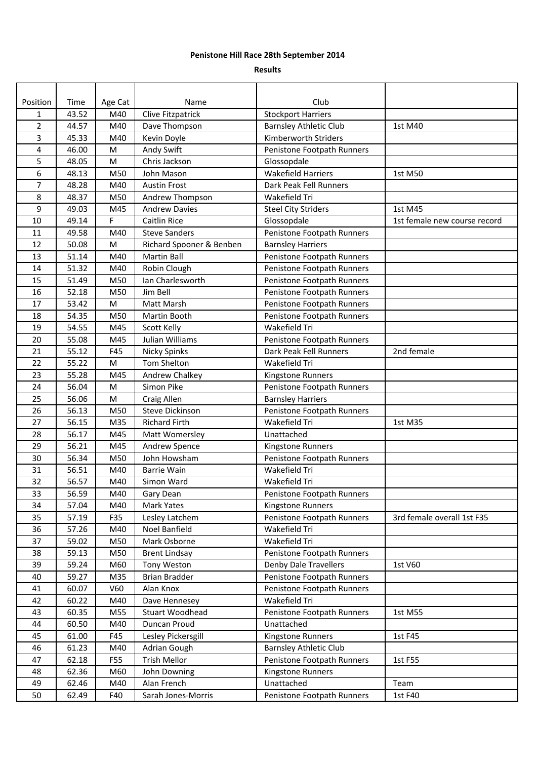## **Penistone Hill Race 28th September 2014**

## **Results**

| Position       | Time  | Age Cat   | Name                     | Club                          |                              |
|----------------|-------|-----------|--------------------------|-------------------------------|------------------------------|
| 1              | 43.52 | M40       | Clive Fitzpatrick        | <b>Stockport Harriers</b>     |                              |
| $\overline{2}$ | 44.57 | M40       | Dave Thompson            | <b>Barnsley Athletic Club</b> | 1st M40                      |
| 3              | 45.33 | M40       | Kevin Doyle              | Kimberworth Striders          |                              |
| 4              | 46.00 | M         | Andy Swift               | Penistone Footpath Runners    |                              |
| 5              | 48.05 | M         | Chris Jackson            | Glossopdale                   |                              |
| 6              | 48.13 | M50       | John Mason               | Wakefield Harriers            | 1st M50                      |
| 7              | 48.28 | M40       | <b>Austin Frost</b>      | Dark Peak Fell Runners        |                              |
| 8              | 48.37 | M50       | Andrew Thompson          | Wakefield Tri                 |                              |
| 9              | 49.03 | M45       | <b>Andrew Davies</b>     | <b>Steel City Striders</b>    | 1st M45                      |
| 10             | 49.14 | F         | Caitlin Rice             | Glossopdale                   | 1st female new course record |
| 11             | 49.58 | M40       | <b>Steve Sanders</b>     | Penistone Footpath Runners    |                              |
| 12             | 50.08 | M         | Richard Spooner & Benben | <b>Barnsley Harriers</b>      |                              |
| 13             | 51.14 | M40       | Martin Ball              | Penistone Footpath Runners    |                              |
| 14             | 51.32 | M40       | Robin Clough             | Penistone Footpath Runners    |                              |
| 15             | 51.49 | M50       | Ian Charlesworth         | Penistone Footpath Runners    |                              |
| 16             | 52.18 | M50       | Jim Bell                 | Penistone Footpath Runners    |                              |
| 17             | 53.42 | M         | Matt Marsh               | Penistone Footpath Runners    |                              |
| 18             | 54.35 | M50       | Martin Booth             | Penistone Footpath Runners    |                              |
| 19             | 54.55 | M45       | Scott Kelly              | Wakefield Tri                 |                              |
| 20             | 55.08 | M45       | Julian Williams          | Penistone Footpath Runners    |                              |
| 21             | 55.12 | F45       | <b>Nicky Spinks</b>      | Dark Peak Fell Runners        | 2nd female                   |
| 22             | 55.22 | M         | Tom Shelton              | Wakefield Tri                 |                              |
| 23             | 55.28 | M45       | Andrew Chalkey           | Kingstone Runners             |                              |
| 24             | 56.04 | ${\sf M}$ | Simon Pike               | Penistone Footpath Runners    |                              |
| 25             | 56.06 | M         | Craig Allen              | <b>Barnsley Harriers</b>      |                              |
| 26             | 56.13 | M50       | Steve Dickinson          | Penistone Footpath Runners    |                              |
| 27             | 56.15 | M35       | <b>Richard Firth</b>     | Wakefield Tri                 | 1st M35                      |
| 28             | 56.17 | M45       | Matt Womersley           | Unattached                    |                              |
| 29             | 56.21 | M45       | Andrew Spence            | Kingstone Runners             |                              |
| 30             | 56.34 | M50       | John Howsham             | Penistone Footpath Runners    |                              |
| 31             | 56.51 | M40       | <b>Barrie Wain</b>       | Wakefield Tri                 |                              |
| 32             | 56.57 | M40       | Simon Ward               | Wakefield Tri                 |                              |
| 33             | 56.59 | M40       | Gary Dean                | Penistone Footpath Runners    |                              |
| 34             | 57.04 | M40       | Mark Yates               | Kingstone Runners             |                              |
| 35             | 57.19 | F35       | Lesley Latchem           | Penistone Footpath Runners    | 3rd female overall 1st F35   |
| 36             | 57.26 | M40       | Noel Banfield            | Wakefield Tri                 |                              |
| 37             | 59.02 | M50       | Mark Osborne             | Wakefield Tri                 |                              |
| 38             | 59.13 | M50       | <b>Brent Lindsay</b>     | Penistone Footpath Runners    |                              |
| 39             | 59.24 | M60       | Tony Weston              | Denby Dale Travellers         | 1st V60                      |
| 40             | 59.27 | M35       | <b>Brian Bradder</b>     | Penistone Footpath Runners    |                              |
| 41             | 60.07 | V60       | Alan Knox                | Penistone Footpath Runners    |                              |
| 42             | 60.22 | M40       | Dave Hennesey            | Wakefield Tri                 |                              |
| 43             | 60.35 | M55       | <b>Stuart Woodhead</b>   | Penistone Footpath Runners    | 1st M55                      |
| 44             | 60.50 | M40       | Duncan Proud             | Unattached                    |                              |
| 45             | 61.00 | F45       | Lesley Pickersgill       | Kingstone Runners             | 1st F45                      |
| 46             | 61.23 | M40       | Adrian Gough             | <b>Barnsley Athletic Club</b> |                              |
| 47             | 62.18 | F55       | <b>Trish Mellor</b>      | Penistone Footpath Runners    | 1st F55                      |
| 48             | 62.36 | M60       | John Downing             | Kingstone Runners             |                              |
| 49             | 62.46 | M40       | Alan French              | Unattached                    | Team                         |
| 50             | 62.49 | F40       | Sarah Jones-Morris       | Penistone Footpath Runners    | 1st F40                      |